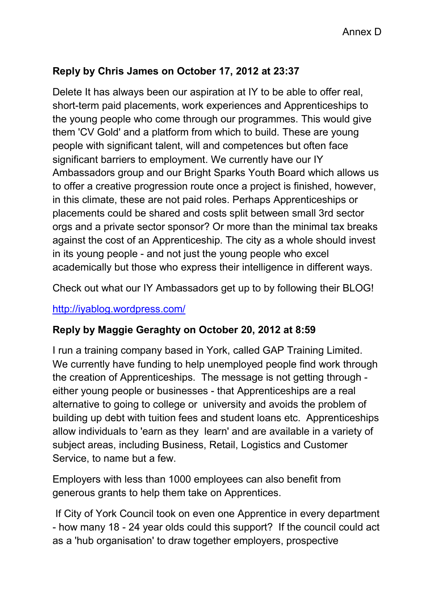## **Reply by Chris James on October 17, 2012 at 23:37**

Delete It has always been our aspiration at IY to be able to offer real, short-term paid placements, work experiences and Apprenticeships to the young people who come through our programmes. This would give them 'CV Gold' and a platform from which to build. These are young people with significant talent, will and competences but often face significant barriers to employment. We currently have our IY Ambassadors group and our Bright Sparks Youth Board which allows us to offer a creative progression route once a project is finished, however, in this climate, these are not paid roles. Perhaps Apprenticeships or placements could be shared and costs split between small 3rd sector orgs and a private sector sponsor? Or more than the minimal tax breaks against the cost of an Apprenticeship. The city as a whole should invest in its young people - and not just the young people who excel academically but those who express their intelligence in different ways.

Check out what our IY Ambassadors get up to by following their BLOG!

## http://iyablog.wordpress.com/

## **Reply by Maggie Geraghty on October 20, 2012 at 8:59**

I run a training company based in York, called GAP Training Limited. We currently have funding to help unemployed people find work through the creation of Apprenticeships. The message is not getting through either young people or businesses - that Apprenticeships are a real alternative to going to college or university and avoids the problem of building up debt with tuition fees and student loans etc. Apprenticeships allow individuals to 'earn as they learn' and are available in a variety of subject areas, including Business, Retail, Logistics and Customer Service, to name but a few.

Employers with less than 1000 employees can also benefit from generous grants to help them take on Apprentices.

 If City of York Council took on even one Apprentice in every department - how many 18 - 24 year olds could this support? If the council could act as a 'hub organisation' to draw together employers, prospective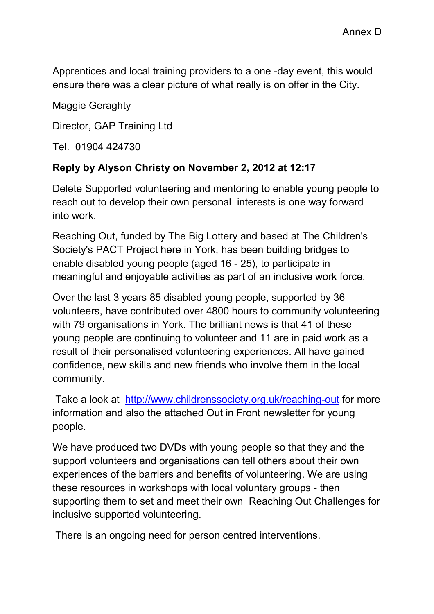Apprentices and local training providers to a one -day event, this would ensure there was a clear picture of what really is on offer in the City.

Maggie Geraghty

Director, GAP Training Ltd

Tel. 01904 424730

## **Reply by Alyson Christy on November 2, 2012 at 12:17**

Delete Supported volunteering and mentoring to enable young people to reach out to develop their own personal interests is one way forward into work.

Reaching Out, funded by The Big Lottery and based at The Children's Society's PACT Project here in York, has been building bridges to enable disabled young people (aged 16 - 25), to participate in meaningful and enjoyable activities as part of an inclusive work force.

Over the last 3 years 85 disabled young people, supported by 36 volunteers, have contributed over 4800 hours to community volunteering with 79 organisations in York. The brilliant news is that 41 of these young people are continuing to volunteer and 11 are in paid work as a result of their personalised volunteering experiences. All have gained confidence, new skills and new friends who involve them in the local community.

 Take a look at http://www.childrenssociety.org.uk/reaching-out for more information and also the attached Out in Front newsletter for young people.

We have produced two DVDs with young people so that they and the support volunteers and organisations can tell others about their own experiences of the barriers and benefits of volunteering. We are using these resources in workshops with local voluntary groups - then supporting them to set and meet their own Reaching Out Challenges for inclusive supported volunteering.

There is an ongoing need for person centred interventions.